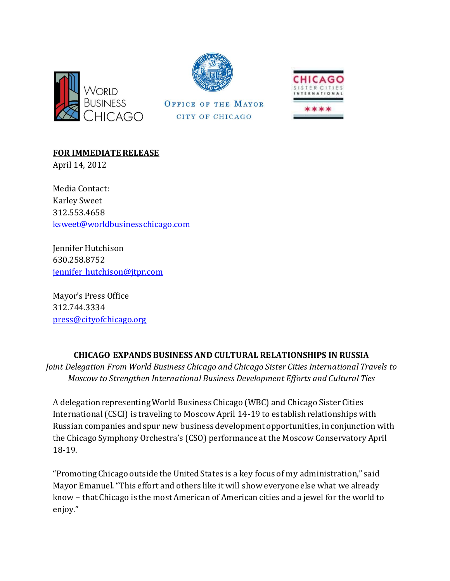



**OFFICE OF THE MAYOR** 

CITY OF CHICAGO



**FOR IMMEDIATE RELEASE**

April 14, 2012

Media Contact: Karley Sweet 312.553.4658 [ksweet@worldbusinesschicago.com](mailto:ksweet@worldbusinesschicago.com)

Jennifer Hutchison 630.258.8752 jennifer hutchison@jtpr.com

Mayor's Press Office 312.744.3334 [press@cityofchicago.org](mailto:press@cityofchicago.org)

## **CHICAGO EXPANDS BUSINESS AND CULTURAL RELATIONSHIPS IN RUSSIA**

*Joint Delegation From World Business Chicago and Chicago Sister Cities International Travels to Moscow to Strengthen International Business Development Efforts and Cultural Ties*

A delegation representing World Business Chicago (WBC) and Chicago Sister Cities International (CSCI) is traveling to Moscow April 14-19 to establish relationships with Russian companies and spur new business development opportunities, in conjunction with the Chicago Symphony Orchestra's (CSO) performance at the Moscow Conservatory April 18-19.

"Promoting Chicago outside the United States is a key focus of my administration," said Mayor Emanuel. "This effort and others like it will show everyone else what we already know – that Chicago is the most American of American cities and a jewel for the world to enjoy."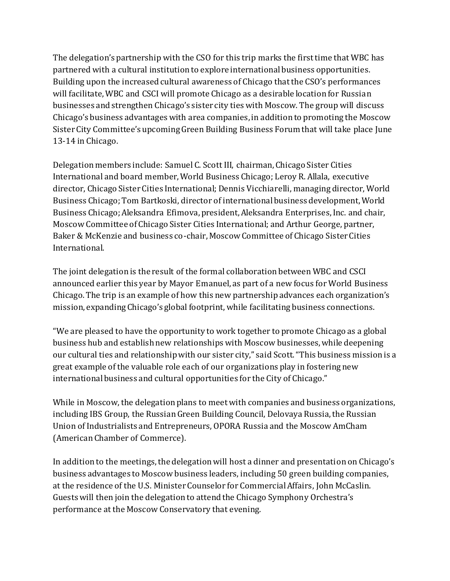The delegation's partnership with the CSO for this trip marks the first time that WBC has partnered with a cultural institution to explore international business opportunities. Building upon the increased cultural awareness of Chicago that the CSO's performances will facilitate, WBC and CSCI will promote Chicago as a desirable location for Russian businesses and strengthen Chicago's sister city ties with Moscow. The group will discuss Chicago's business advantages with area companies, in addition to promoting the Moscow Sister City Committee's upcoming Green Building Business Forum that will take place June 13-14 in Chicago.

Delegation members include: Samuel C. Scott III, chairman, Chicago Sister Cities International and board member, World Business Chicago; Leroy R. Allala, executive director, Chicago Sister Cities International; Dennis Vicchiarelli, managing director, World Business Chicago; Tom Bartkoski, director of international business development, World Business Chicago; Aleksandra Efimova, president, Aleksandra Enterprises, Inc. and chair, Moscow Committee of Chicago Sister Cities International; and Arthur George, partner, Baker & McKenzie and business co-chair, Moscow Committee of Chicago Sister Cities International.

The joint delegation is the result of the formal collaboration between WBC and CSCI announced earlier this year by Mayor Emanuel, as part of a new focus for World Business Chicago. The trip is an example of how this new partnership advances each organization's mission, expanding Chicago's global footprint, while facilitating business connections.

"We are pleased to have the opportunity to work together to promote Chicago as a global business hub and establish new relationships with Moscow businesses, while deepening our cultural ties and relationship with our sister city," said Scott. "This business mission is a great example of the valuable role each of our organizations play in fostering new international business and cultural opportunities for the City of Chicago."

While in Moscow, the delegation plans to meet with companies and business organizations, including IBS Group, the Russian Green Building Council, Delovaya Russia, the Russian Union of Industrialists and Entrepreneurs, OPORA Russia and the Moscow AmCham (American Chamber of Commerce).

In addition to the meetings, the delegation will host a dinner and presentation on Chicago's business advantages to Moscow business leaders, including 50 green building companies, at the residence of the U.S. Minister Counselor for Commercial Affairs, John McCaslin. Guests will then join the delegation to attend the Chicago Symphony Orchestra's performance at the Moscow Conservatory that evening.